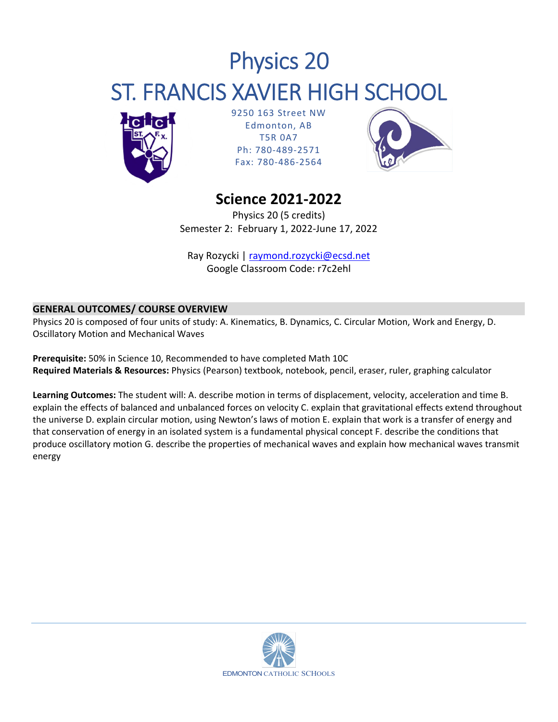# Physics 20 ST. FRANCIS XAVIER HIGH SCHOOL



9250 163 Street NW Edmonton, AB T5R 0A7 Ph: 780‐489‐2571 Fax: 780‐486‐2564



# **Science 2021‐2022**

Physics 20 (5 credits) Semester 2: February 1, 2022‐June 17, 2022

Ray Rozycki | raymond.rozycki@ecsd.net Google Classroom Code: r7c2ehl

# **GENERAL OUTCOMES/ COURSE OVERVIEW**

Physics 20 is composed of four units of study: A. Kinematics, B. Dynamics, C. Circular Motion, Work and Energy, D. Oscillatory Motion and Mechanical Waves

**Prerequisite:** 50% in Science 10, Recommended to have completed Math 10C **Required Materials & Resources:** Physics (Pearson) textbook, notebook, pencil, eraser, ruler, graphing calculator

**Learning Outcomes:** The student will: A. describe motion in terms of displacement, velocity, acceleration and time B. explain the effects of balanced and unbalanced forces on velocity C. explain that gravitational effects extend throughout the universe D. explain circular motion, using Newton's laws of motion E. explain that work is a transfer of energy and that conservation of energy in an isolated system is a fundamental physical concept F. describe the conditions that produce oscillatory motion G. describe the properties of mechanical waves and explain how mechanical waves transmit energy

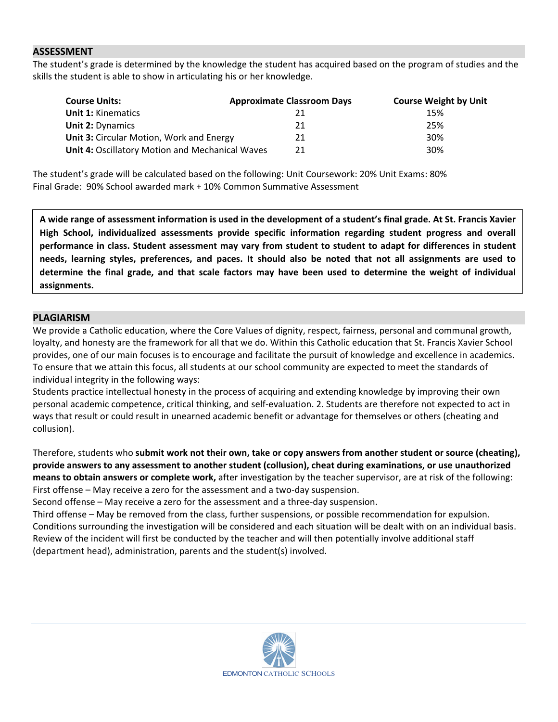### $\mathsf{ASSESSMENT}$  . The contract of  $\mathsf{SUSLSSMENT}$  is a set of  $\mathsf{SUSLSSMENT}$  . The contract of  $\mathsf{SUSLSSMENT}$

The student's grade is determined by the knowledge the student has acquired based on the program of studies and the skills the student is able to show in articulating his or her knowledge.

| <b>Course Units:</b>                                   | <b>Approximate Classroom Days</b> | <b>Course Weight by Unit</b> |
|--------------------------------------------------------|-----------------------------------|------------------------------|
| <b>Unit 1: Kinematics</b>                              |                                   | 15%                          |
| <b>Unit 2: Dynamics</b>                                | 21                                | 25%                          |
| <b>Unit 3: Circular Motion, Work and Energy</b>        | 21                                | 30%                          |
| <b>Unit 4: Oscillatory Motion and Mechanical Waves</b> | 21                                | 30%                          |

The student's grade will be calculated based on the following: Unit Coursework: 20% Unit Exams: 80% Final Grade: 90% School awarded mark + 10% Common Summative Assessment

A wide range of assessment information is used in the development of a student's final grade. At St. Francis Xavier **High School, individualized assessments provide specific information regarding student progress and overall** performance in class. Student assessment may vary from student to student to adapt for differences in student needs, learning styles, preferences, and paces. It should also be noted that not all assignments are used to determine the final grade, and that scale factors may have been used to determine the weight of individual **assignments.**

## **PLAGIARISM**

We provide a Catholic education, where the Core Values of dignity, respect, fairness, personal and communal growth, loyalty, and honesty are the framework for all that we do. Within this Catholic education that St. Francis Xavier School provides, one of our main focuses is to encourage and facilitate the pursuit of knowledge and excellence in academics. To ensure that we attain this focus, all students at our school community are expected to meet the standards of individual integrity in the following ways:

Students practice intellectual honesty in the process of acquiring and extending knowledge by improving their own personal academic competence, critical thinking, and self‐evaluation. 2. Students are therefore not expected to act in ways that result or could result in unearned academic benefit or advantage for themselves or others (cheating and collusion).

Therefore, students who **submit work not their own, take or copy answers from another student or source (cheating), provide answers to any assessment to another student (collusion), cheat during examinations, or use unauthorized means to obtain answers or complete work,** after investigation by the teacher supervisor, are at risk of the following: First offense – May receive a zero for the assessment and a two-day suspension.

Second offense – May receive a zero for the assessment and a three‐day suspension.

Third offense – May be removed from the class, further suspensions, or possible recommendation for expulsion. Conditions surrounding the investigation will be considered and each situation will be dealt with on an individual basis. Review of the incident will first be conducted by the teacher and will then potentially involve additional staff (department head), administration, parents and the student(s) involved.